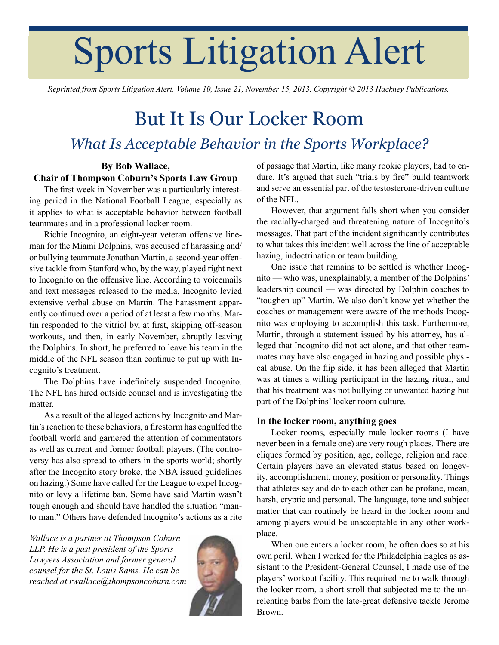# Sports Litigation Alert

*Reprinted from Sports Litigation Alert, Volume 10, Issue 21, November 15, 2013. Copyright © 2013 Hackney Publications.*

## But It Is Our Locker Room *What Is Acceptable Behavior in the Sports Workplace?*

### **By Bob Wallace, Chair of Thompson Coburn's Sports Law Group**

The first week in November was a particularly interesting period in the National Football League, especially as it applies to what is acceptable behavior between football teammates and in a professional locker room.

Richie Incognito, an eight-year veteran offensive lineman for the Miami Dolphins, was accused of harassing and/ or bullying teammate Jonathan Martin, a second-year offensive tackle from Stanford who, by the way, played right next to Incognito on the offensive line. According to voicemails and text messages released to the media, Incognito levied extensive verbal abuse on Martin. The harassment apparently continued over a period of at least a few months. Martin responded to the vitriol by, at first, skipping off-season workouts, and then, in early November, abruptly leaving the Dolphins. In short, he preferred to leave his team in the middle of the NFL season than continue to put up with Incognito's treatment.

The Dolphins have indefinitely suspended Incognito. The NFL has hired outside counsel and is investigating the matter.

As a result of the alleged actions by Incognito and Martin's reaction to these behaviors, a firestorm has engulfed the football world and garnered the attention of commentators as well as current and former football players. (The controversy has also spread to others in the sports world; shortly after the Incognito story broke, the NBA issued guidelines on hazing.) Some have called for the League to expel Incognito or levy a lifetime ban. Some have said Martin wasn't tough enough and should have handled the situation "manto man." Others have defended Incognito's actions as a rite

*Wallace is a partner at Thompson Coburn LLP. He is a past president of the Sports Lawyers Association and former general counsel for the St. Louis Rams. He can be reached at [rwallace@thompsoncoburn.com](mailto:rwallace@thompsoncoburn.com)*



of passage that Martin, like many rookie players, had to endure. It's argued that such "trials by fire" build teamwork and serve an essential part of the testosterone-driven culture of the NFL.

However, that argument falls short when you consider the racially-charged and threatening nature of Incognito's messages. That part of the incident significantly contributes to what takes this incident well across the line of acceptable hazing, indoctrination or team building.

One issue that remains to be settled is whether Incognito — who was, unexplainably, a member of the Dolphins' leadership council — was directed by Dolphin coaches to "toughen up" Martin. We also don't know yet whether the coaches or management were aware of the methods Incognito was employing to accomplish this task. Furthermore, Martin, through a statement issued by his attorney, has alleged that Incognito did not act alone, and that other teammates may have also engaged in hazing and possible physical abuse. On the flip side, it has been alleged that Martin was at times a willing participant in the hazing ritual, and that his treatment was not bullying or unwanted hazing but part of the Dolphins' locker room culture.

#### **In the locker room, anything goes**

Locker rooms, especially male locker rooms (I have never been in a female one) are very rough places. There are cliques formed by position, age, college, religion and race. Certain players have an elevated status based on longevity, accomplishment, money, position or personality. Things that athletes say and do to each other can be profane, mean, harsh, cryptic and personal. The language, tone and subject matter that can routinely be heard in the locker room and among players would be unacceptable in any other workplace.

When one enters a locker room, he often does so at his own peril. When I worked for the Philadelphia Eagles as assistant to the President-General Counsel, I made use of the players' workout facility. This required me to walk through the locker room, a short stroll that subjected me to the unrelenting barbs from the late-great defensive tackle Jerome Brown.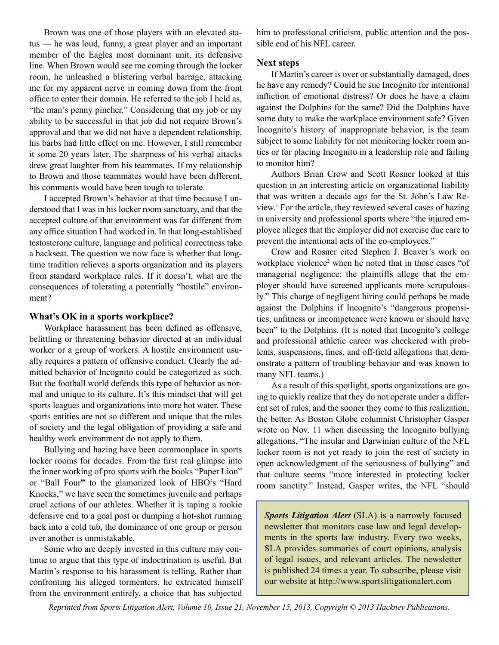Brown was one of those players with an elevated status — he was loud, funny, a great player and an important member of the Eagles most dominant unit, its defensive line. When Brown would see me coming through the locker room, he unleashed a blistering verbal barrage, attacking me for my apparent nerve in coming down from the front office to enter their domain. He referred to the job I held as, "the man's penny pincher." Considering that my job or my ability to be successful in that job did not require Brown's approval and that we did not have a dependent relationship, his barbs had little effect on me. However, I still remember it some 20 years later. The sharpness of his verbal attacks drew great laughter from his teammates. If my relationship to Brown and those teammates would have been different, his comments would have been tough to tolerate.

I accepted Brown's behavior at that time because I understood that I was in his locker room sanctuary, and that the accepted culture of that environment was far different from any office situation I had worked in. In that long-established testosterone culture, language and political correctness take a backseat. The question we now face is whether that longtime tradition relieves a sports organization and its players from standard workplace rules. If it doesn't, what are the consequences of tolerating a potentially "hostile" environment?

#### **What's OK in a sports workplace?**

Workplace harassment has been defined as offensive, belittling or threatening behavior directed at an individual worker or a group of workers. A hostile environment usually requires a pattern of offensive conduct. Clearly the admitted behavior of Incognito could be categorized as such. But the football world defends this type of behavior as normal and unique to its culture. It's this mindset that will get sports leagues and organizations into more hot water. These sports entities are not so different and unique that the rules of society and the legal obligation of providing a safe and healthy work environment do not apply to them.

Bullying and hazing have been commonplace in sports locker rooms for decades. From the first real glimpse into the inner working of pro sports with the books "Paper Lion" or "Ball Four**"** to the glamorized look of HBO's "Hard Knocks," we have seen the sometimes juvenile and perhaps cruel actions of our athletes. Whether it is taping a rookie defensive end to a goal post or dumping a hot-shot running back into a cold tub, the dominance of one group or person over another is unmistakable.

Some who are deeply invested in this culture may continue to argue that this type of indoctrination is useful. But Martin's response to his harassment is telling. Rather than confronting his alleged tormenters, he extricated himself from the environment entirely, a choice that has subjected

him to professional criticism, public attention and the possible end of his NFL career.

#### **Next steps**

If Martin's career is over or substantially damaged, does he have any remedy? Could he sue Incognito for intentional infliction of emotional distress? Or does he have a claim against the Dolphins for the same? Did the Dolphins have some duty to make the workplace environment safe? Given Incognito's history of inappropriate behavior, is the team subject to some liability for not monitoring locker room antics or for placing Incognito in a leadership role and failing to monitor him?

Authors Brian Crow and Scott Rosner looked at this question in an interesting article on organizational liability that was written a decade ago for the St. John's Law Review.<sup>1</sup> For the article, they reviewed several cases of hazing in university and professional sports where "the injured employee alleges that the employer did not exercise due care to prevent the intentional acts of the co-employees."

Crow and Rosner cited Stephen J. Beaver's work on workplace violence<sup>2</sup> when he noted that in those cases "of managerial negligence: the plaintiffs allege that the employer should have screened applicants more scrupulously." This charge of negligent hiring could perhaps be made against the Dolphins if Incognito's "dangerous propensities, unfitness or incompetence were known or should have been" to the Dolphins. (It is noted that Incognito's college and professional athletic career was checkered with problems, suspensions, fines, and off-field allegations that demonstrate a pattern of troubling behavior and was known to many NFL teams.)

As a result of this spotlight, sports organizations are going to quickly realize that they do not operate under a different set of rules, and the sooner they come to this realization, the better. As Boston Globe columnist Christopher Gasper wrote on Nov. 11 when discussing the Incognito bullying allegations, "The insular and Darwinian culture of the NFL locker room is not yet ready to join the rest of society in open acknowledgment of the seriousness of bullying" and that culture seems "more interested in protecting locker room sanctity." Instead, Gasper writes, the NFL "should

*Sports Litigation Alert* (SLA) is a narrowly focused newsletter that monitors case law and legal developments in the sports law industry. Every two weeks, SLA provides summaries of court opinions, analysis of legal issues, and relevant articles. The newsletter is published 24 times a year. To subscribe, please visit our website at http://www.sportslitigationalert.com

*Reprinted from Sports Litigation Alert, Volume 10, Issue 21, November 15, 2013. Copyright © 2013 Hackney Publications.*